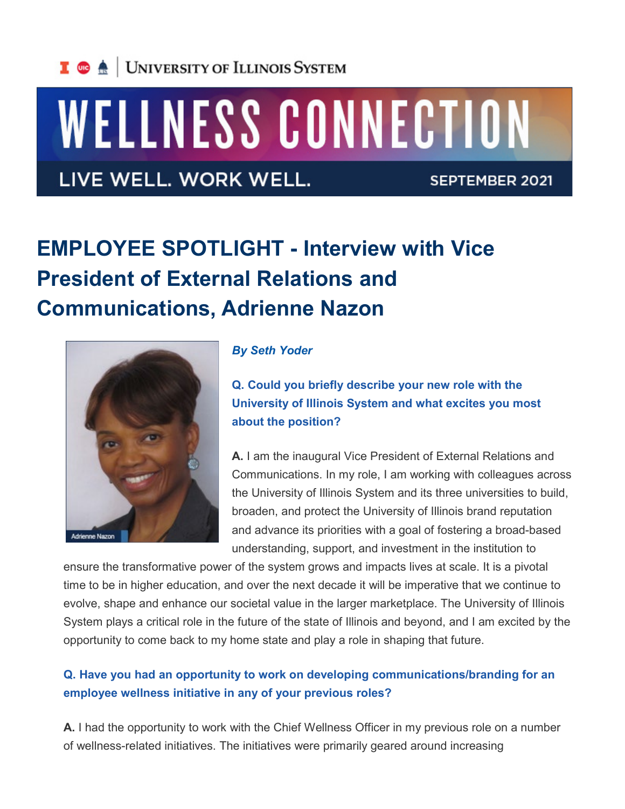# WELLNESS CONNECTION

LIVE WELL. WORK WELL.

SEPTEMBER 2021

# **EMPLOYEE SPOTLIGHT - Interview with Vice President of External Relations and Communications, Adrienne Nazon**



#### *By Seth Yoder*

**Q. Could you briefly describe your new role with the University of Illinois System and what excites you most about the position?**

**A.** I am the inaugural Vice President of External Relations and Communications. In my role, I am working with colleagues across the University of Illinois System and its three universities to build, broaden, and protect the University of Illinois brand reputation and advance its priorities with a goal of fostering a broad-based understanding, support, and investment in the institution to

ensure the transformative power of the system grows and impacts lives at scale. It is a pivotal time to be in higher education, and over the next decade it will be imperative that we continue to evolve, shape and enhance our societal value in the larger marketplace. The University of Illinois System plays a critical role in the future of the state of Illinois and beyond, and I am excited by the opportunity to come back to my home state and play a role in shaping that future.

### **Q. Have you had an opportunity to work on developing communications/branding for an employee wellness initiative in any of your previous roles?**

**A.** I had the opportunity to work with the Chief Wellness Officer in my previous role on a number of wellness-related initiatives. The initiatives were primarily geared around increasing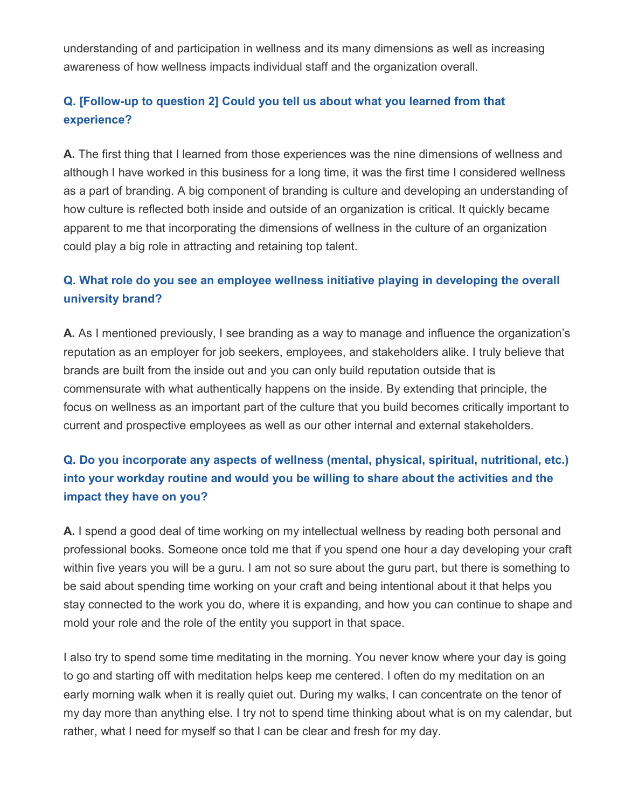understanding of and participation in wellness and its many dimensions as well as increasing awareness of how wellness impacts individual staff and the organization overall.

### **Q. [Follow-up to question 2] Could you tell us about what you learned from that experience?**

**A.** The first thing that I learned from those experiences was the nine dimensions of wellness and although I have worked in this business for a long time, it was the first time I considered wellness as a part of branding. A big component of branding is culture and developing an understanding of how culture is reflected both inside and outside of an organization is critical. It quickly became apparent to me that incorporating the dimensions of wellness in the culture of an organization could play a big role in attracting and retaining top talent.

#### **Q. What role do you see an employee wellness initiative playing in developing the overall university brand?**

**A.** As I mentioned previously, I see branding as a way to manage and influence the organization's reputation as an employer for job seekers, employees, and stakeholders alike. I truly believe that brands are built from the inside out and you can only build reputation outside that is commensurate with what authentically happens on the inside. By extending that principle, the focus on wellness as an important part of the culture that you build becomes critically important to current and prospective employees as well as our other internal and external stakeholders.

## **Q. Do you incorporate any aspects of wellness (mental, physical, spiritual, nutritional, etc.) into your workday routine and would you be willing to share about the activities and the impact they have on you?**

**A.** I spend a good deal of time working on my intellectual wellness by reading both personal and professional books. Someone once told me that if you spend one hour a day developing your craft within five years you will be a guru. I am not so sure about the guru part, but there is something to be said about spending time working on your craft and being intentional about it that helps you stay connected to the work you do, where it is expanding, and how you can continue to shape and mold your role and the role of the entity you support in that space.

I also try to spend some time meditating in the morning. You never know where your day is going to go and starting off with meditation helps keep me centered. I often do my meditation on an early morning walk when it is really quiet out. During my walks, I can concentrate on the tenor of my day more than anything else. I try not to spend time thinking about what is on my calendar, but rather, what I need for myself so that I can be clear and fresh for my day.